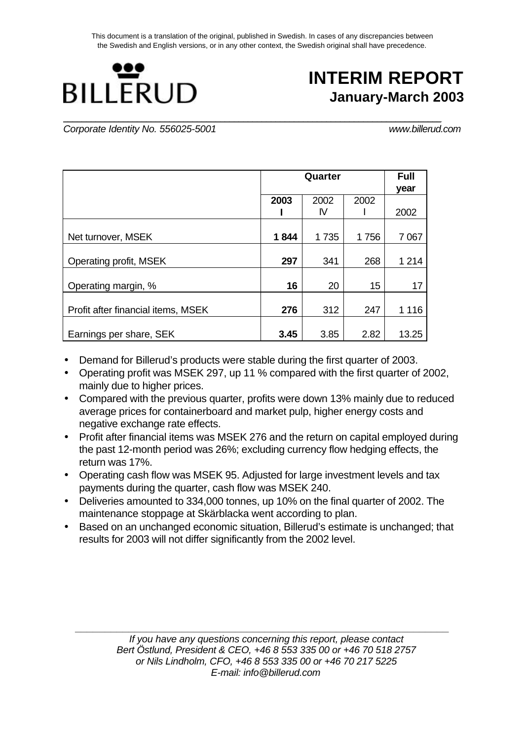This document is a translation of the original, published in Swedish. In cases of any discrepancies between the Swedish and English versions, or in any other context, the Swedish original shall have precedence.



# **INTERIM REPORT January-March 2003**

**\_\_\_\_\_\_\_\_\_\_\_\_\_\_\_\_\_\_\_\_\_\_\_\_\_\_\_\_\_\_\_\_\_\_\_\_\_\_\_\_\_\_\_\_\_\_\_\_\_\_\_\_\_\_\_\_\_\_\_\_\_\_\_\_\_\_\_\_\_\_\_\_\_\_\_\_\_\_\_\_\_\_** *Corporate Identity No. 556025-5001 www.billerud.com*

|                                    |      | Quarter |      |         |  |  |
|------------------------------------|------|---------|------|---------|--|--|
|                                    |      |         |      | year    |  |  |
|                                    | 2003 | 2002    | 2002 |         |  |  |
|                                    |      | IV      |      | 2002    |  |  |
|                                    |      |         |      |         |  |  |
| Net turnover, MSEK                 | 1844 | 1735    | 1756 | 7 0 67  |  |  |
|                                    |      |         |      |         |  |  |
| Operating profit, MSEK             | 297  | 341     | 268  | 1 2 1 4 |  |  |
|                                    |      |         |      |         |  |  |
| Operating margin, %                | 16   | 20      | 15   | 17      |  |  |
|                                    |      |         |      |         |  |  |
| Profit after financial items, MSEK | 276  | 312     | 247  | 1 1 1 6 |  |  |
|                                    |      |         |      |         |  |  |
| Earnings per share, SEK            | 3.45 | 3.85    | 2.82 | 13.25   |  |  |

- Demand for Billerud's products were stable during the first quarter of 2003.
- Operating profit was MSEK 297, up 11 % compared with the first quarter of 2002, mainly due to higher prices.
- Compared with the previous quarter, profits were down 13% mainly due to reduced average prices for containerboard and market pulp, higher energy costs and negative exchange rate effects.
- Profit after financial items was MSEK 276 and the return on capital employed during the past 12-month period was 26%; excluding currency flow hedging effects, the return was 17%.
- Operating cash flow was MSEK 95. Adjusted for large investment levels and tax payments during the quarter, cash flow was MSEK 240.
- Deliveries amounted to 334,000 tonnes, up 10% on the final quarter of 2002. The maintenance stoppage at Skärblacka went according to plan.
- Based on an unchanged economic situation, Billerud's estimate is unchanged; that results for 2003 will not differ significantly from the 2002 level.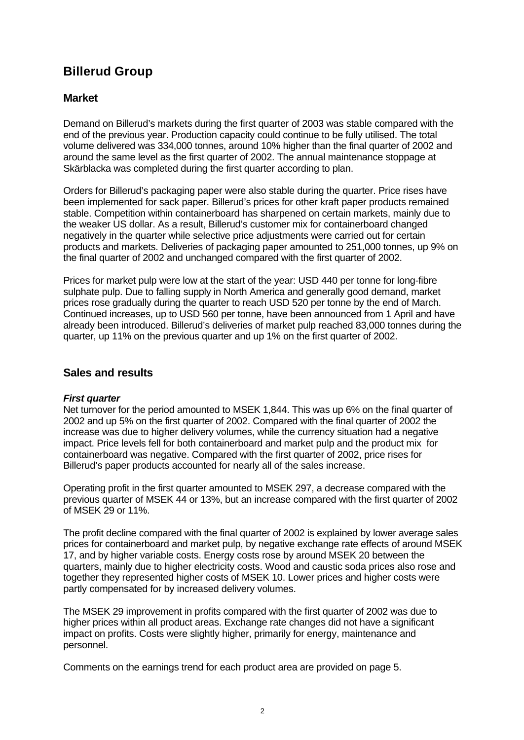# **Billerud Group**

# **Market**

Demand on Billerud's markets during the first quarter of 2003 was stable compared with the end of the previous year. Production capacity could continue to be fully utilised. The total volume delivered was 334,000 tonnes, around 10% higher than the final quarter of 2002 and around the same level as the first quarter of 2002. The annual maintenance stoppage at Skärblacka was completed during the first quarter according to plan.

Orders for Billerud's packaging paper were also stable during the quarter. Price rises have been implemented for sack paper. Billerud's prices for other kraft paper products remained stable. Competition within containerboard has sharpened on certain markets, mainly due to the weaker US dollar. As a result, Billerud's customer mix for containerboard changed negatively in the quarter while selective price adjustments were carried out for certain products and markets. Deliveries of packaging paper amounted to 251,000 tonnes, up 9% on the final quarter of 2002 and unchanged compared with the first quarter of 2002.

Prices for market pulp were low at the start of the year: USD 440 per tonne for long-fibre sulphate pulp. Due to falling supply in North America and generally good demand, market prices rose gradually during the quarter to reach USD 520 per tonne by the end of March. Continued increases, up to USD 560 per tonne, have been announced from 1 April and have already been introduced. Billerud's deliveries of market pulp reached 83,000 tonnes during the quarter, up 11% on the previous quarter and up 1% on the first quarter of 2002.

### **Sales and results**

#### *First quarter*

Net turnover for the period amounted to MSEK 1,844. This was up 6% on the final quarter of 2002 and up 5% on the first quarter of 2002. Compared with the final quarter of 2002 the increase was due to higher delivery volumes, while the currency situation had a negative impact. Price levels fell for both containerboard and market pulp and the product mix for containerboard was negative. Compared with the first quarter of 2002, price rises for Billerud's paper products accounted for nearly all of the sales increase.

Operating profit in the first quarter amounted to MSEK 297, a decrease compared with the previous quarter of MSEK 44 or 13%, but an increase compared with the first quarter of 2002 of MSEK 29 or 11%.

The profit decline compared with the final quarter of 2002 is explained by lower average sales prices for containerboard and market pulp, by negative exchange rate effects of around MSEK 17, and by higher variable costs. Energy costs rose by around MSEK 20 between the quarters, mainly due to higher electricity costs. Wood and caustic soda prices also rose and together they represented higher costs of MSEK 10. Lower prices and higher costs were partly compensated for by increased delivery volumes.

The MSEK 29 improvement in profits compared with the first quarter of 2002 was due to higher prices within all product areas. Exchange rate changes did not have a significant impact on profits. Costs were slightly higher, primarily for energy, maintenance and personnel.

Comments on the earnings trend for each product area are provided on page 5.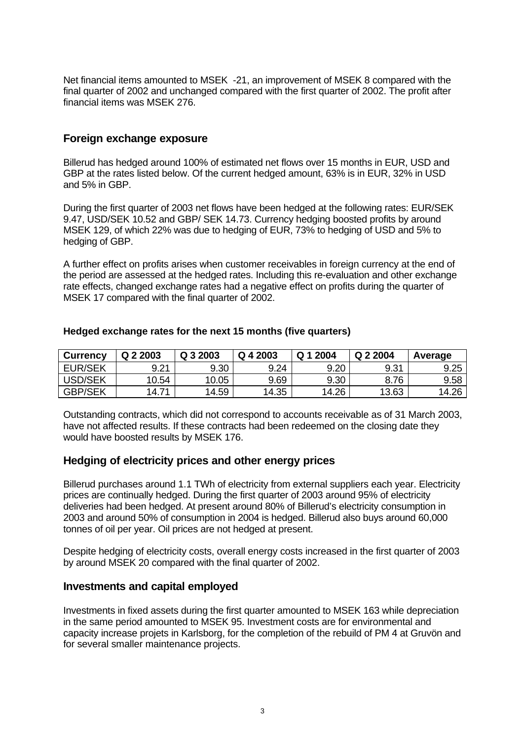Net financial items amounted to MSEK -21, an improvement of MSEK 8 compared with the final quarter of 2002 and unchanged compared with the first quarter of 2002. The profit after financial items was MSEK 276.

# **Foreign exchange exposure**

Billerud has hedged around 100% of estimated net flows over 15 months in EUR, USD and GBP at the rates listed below. Of the current hedged amount, 63% is in EUR, 32% in USD and 5% in GBP.

During the first quarter of 2003 net flows have been hedged at the following rates: EUR/SEK 9.47, USD/SEK 10.52 and GBP/ SEK 14.73. Currency hedging boosted profits by around MSEK 129, of which 22% was due to hedging of EUR, 73% to hedging of USD and 5% to hedging of GBP.

A further effect on profits arises when customer receivables in foreign currency at the end of the period are assessed at the hedged rates. Including this re-evaluation and other exchange rate effects, changed exchange rates had a negative effect on profits during the quarter of MSEK 17 compared with the final quarter of 2002.

| <b>Currency</b> | Q 2 2003   | Q 3 2003 | Q 4 2003 | 2004<br>O 1 | Q 2 2004 | Average |
|-----------------|------------|----------|----------|-------------|----------|---------|
| <b>EUR/SEK</b>  | 9.21       | 9.30     | 9.24     | 9.20        | 9.31     | 9.25    |
| USD/SEK         | 10.54      | 10.05    | 9.69     | 9.30        | 8.76     | 9.58    |
| <b>GBP/SEK</b>  | 71<br>14.7 | 14.59    | 14.35    | 14.26       | 13.63    | 14.26   |

#### **Hedged exchange rates for the next 15 months (five quarters)**

Outstanding contracts, which did not correspond to accounts receivable as of 31 March 2003, have not affected results. If these contracts had been redeemed on the closing date they would have boosted results by MSEK 176.

### **Hedging of electricity prices and other energy prices**

Billerud purchases around 1.1 TWh of electricity from external suppliers each year. Electricity prices are continually hedged. During the first quarter of 2003 around 95% of electricity deliveries had been hedged. At present around 80% of Billerud's electricity consumption in 2003 and around 50% of consumption in 2004 is hedged. Billerud also buys around 60,000 tonnes of oil per year. Oil prices are not hedged at present.

Despite hedging of electricity costs, overall energy costs increased in the first quarter of 2003 by around MSEK 20 compared with the final quarter of 2002.

### **Investments and capital employed**

Investments in fixed assets during the first quarter amounted to MSEK 163 while depreciation in the same period amounted to MSEK 95. Investment costs are for environmental and capacity increase projets in Karlsborg, for the completion of the rebuild of PM 4 at Gruvön and for several smaller maintenance projects.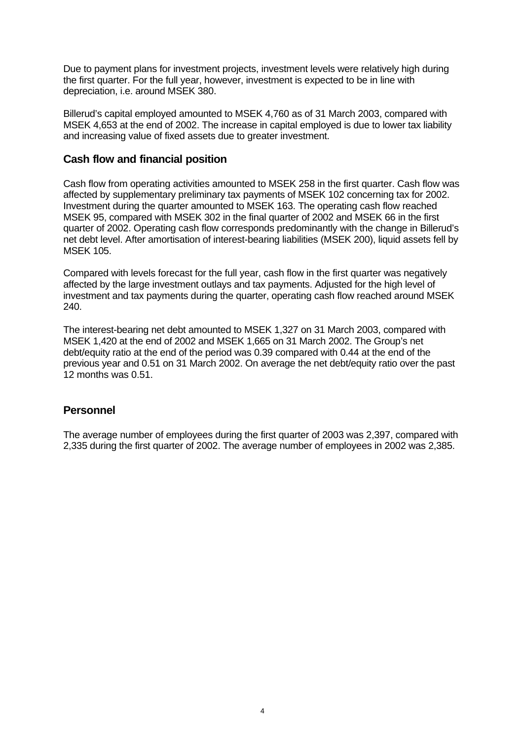Due to payment plans for investment projects, investment levels were relatively high during the first quarter. For the full year, however, investment is expected to be in line with depreciation, i.e. around MSEK 380.

Billerud's capital employed amounted to MSEK 4,760 as of 31 March 2003, compared with MSEK 4,653 at the end of 2002. The increase in capital employed is due to lower tax liability and increasing value of fixed assets due to greater investment.

### **Cash flow and financial position**

Cash flow from operating activities amounted to MSEK 258 in the first quarter. Cash flow was affected by supplementary preliminary tax payments of MSEK 102 concerning tax for 2002. Investment during the quarter amounted to MSEK 163. The operating cash flow reached MSEK 95, compared with MSEK 302 in the final quarter of 2002 and MSEK 66 in the first quarter of 2002. Operating cash flow corresponds predominantly with the change in Billerud's net debt level. After amortisation of interest-bearing liabilities (MSEK 200), liquid assets fell by MSEK 105.

Compared with levels forecast for the full year, cash flow in the first quarter was negatively affected by the large investment outlays and tax payments. Adjusted for the high level of investment and tax payments during the quarter, operating cash flow reached around MSEK 240.

The interest-bearing net debt amounted to MSEK 1,327 on 31 March 2003, compared with MSEK 1,420 at the end of 2002 and MSEK 1,665 on 31 March 2002. The Group's net debt/equity ratio at the end of the period was 0.39 compared with 0.44 at the end of the previous year and 0.51 on 31 March 2002. On average the net debt/equity ratio over the past 12 months was 0.51.

# **Personnel**

The average number of employees during the first quarter of 2003 was 2,397, compared with 2,335 during the first quarter of 2002. The average number of employees in 2002 was 2,385.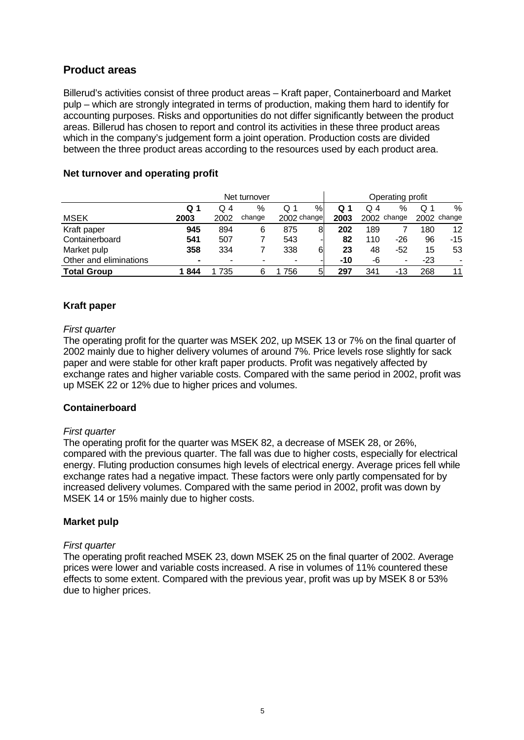# **Product areas**

Billerud's activities consist of three product areas – Kraft paper, Containerboard and Market pulp – which are strongly integrated in terms of production, making them hard to identify for accounting purposes. Risks and opportunities do not differ significantly between the product areas. Billerud has chosen to report and control its activities in these three product areas which in the company's judgement form a joint operation. Production costs are divided between the three product areas according to the resources used by each product area.

|                        | Net turnover |      |        |             |   |      | Operating profit |             |     |             |
|------------------------|--------------|------|--------|-------------|---|------|------------------|-------------|-----|-------------|
|                        | Q 1          | Q 4  | %      | Q 1         | % | Q 1  | Q 4              | %           | Q.  | %           |
| <b>MSEK</b>            | 2003         | 2002 | change | 2002 change |   | 2003 |                  | 2002 change |     | 2002 change |
| Kraft paper            | 945          | 894  | 6      | 875         | 8 | 202  | 189              |             | 180 | 12          |
| Containerboard         | 541          | 507  |        | 543         |   | 82   | 110              | -26         | 96  | $-15$       |
| Market pulp            | 358          | 334  |        | 338         | 6 | 23   | 48               | -52         | 15  | 53          |
| Other and eliminations | ۰            | -    |        | -           |   | -10  | -6               | -           | -23 | $\,$        |
| <b>Total Group</b>     | 844          | 735  |        | 756         | 5 | 297  | 341              | -13         | 268 | 11          |

#### **Net turnover and operating profit**

#### **Kraft paper**

#### *First quarter*

The operating profit for the quarter was MSEK 202, up MSEK 13 or 7% on the final quarter of 2002 mainly due to higher delivery volumes of around 7%. Price levels rose slightly for sack paper and were stable for other kraft paper products. Profit was negatively affected by exchange rates and higher variable costs. Compared with the same period in 2002, profit was up MSEK 22 or 12% due to higher prices and volumes.

#### **Containerboard**

#### *First quarter*

The operating profit for the quarter was MSEK 82, a decrease of MSEK 28, or 26%, compared with the previous quarter. The fall was due to higher costs, especially for electrical energy. Fluting production consumes high levels of electrical energy. Average prices fell while exchange rates had a negative impact. These factors were only partly compensated for by increased delivery volumes. Compared with the same period in 2002, profit was down by MSEK 14 or 15% mainly due to higher costs.

#### **Market pulp**

#### *First quarter*

The operating profit reached MSEK 23, down MSEK 25 on the final quarter of 2002. Average prices were lower and variable costs increased. A rise in volumes of 11% countered these effects to some extent. Compared with the previous year, profit was up by MSEK 8 or 53% due to higher prices.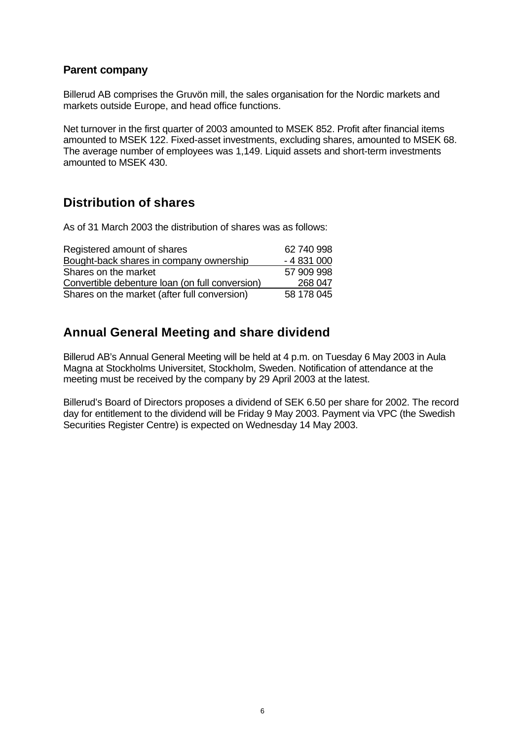# **Parent company**

Billerud AB comprises the Gruvön mill, the sales organisation for the Nordic markets and markets outside Europe, and head office functions.

Net turnover in the first quarter of 2003 amounted to MSEK 852. Profit after financial items amounted to MSEK 122. Fixed-asset investments, excluding shares, amounted to MSEK 68. The average number of employees was 1,149. Liquid assets and short-term investments amounted to MSEK 430.

# **Distribution of shares**

As of 31 March 2003 the distribution of shares was as follows:

| Registered amount of shares                     | 62 740 998 |
|-------------------------------------------------|------------|
| Bought-back shares in company ownership         | $-4831000$ |
| Shares on the market                            | 57 909 998 |
| Convertible debenture loan (on full conversion) | 268 047    |
| Shares on the market (after full conversion)    | 58 178 045 |

# **Annual General Meeting and share dividend**

Billerud AB's Annual General Meeting will be held at 4 p.m. on Tuesday 6 May 2003 in Aula Magna at Stockholms Universitet, Stockholm, Sweden. Notification of attendance at the meeting must be received by the company by 29 April 2003 at the latest.

Billerud's Board of Directors proposes a dividend of SEK 6.50 per share for 2002. The record day for entitlement to the dividend will be Friday 9 May 2003. Payment via VPC (the Swedish Securities Register Centre) is expected on Wednesday 14 May 2003.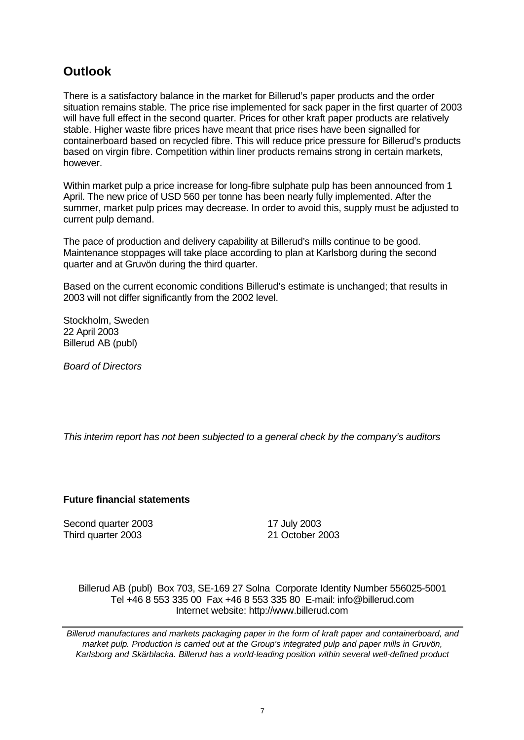# **Outlook**

There is a satisfactory balance in the market for Billerud's paper products and the order situation remains stable. The price rise implemented for sack paper in the first quarter of 2003 will have full effect in the second quarter. Prices for other kraft paper products are relatively stable. Higher waste fibre prices have meant that price rises have been signalled for containerboard based on recycled fibre. This will reduce price pressure for Billerud's products based on virgin fibre. Competition within liner products remains strong in certain markets, however.

Within market pulp a price increase for long-fibre sulphate pulp has been announced from 1 April. The new price of USD 560 per tonne has been nearly fully implemented. After the summer, market pulp prices may decrease. In order to avoid this, supply must be adjusted to current pulp demand.

The pace of production and delivery capability at Billerud's mills continue to be good. Maintenance stoppages will take place according to plan at Karlsborg during the second quarter and at Gruvön during the third quarter.

Based on the current economic conditions Billerud's estimate is unchanged; that results in 2003 will not differ significantly from the 2002 level.

Stockholm, Sweden 22 April 2003 Billerud AB (publ)

*Board of Directors*

*This interim report has not been subjected to a general check by the company's auditors*

#### **Future financial statements**

Second quarter 2003 17 July 2003 Third quarter 2003 21 October 2003

Billerud AB (publ) Box 703, SE-169 27 Solna Corporate Identity Number 556025-5001 Tel +46 8 553 335 00 Fax +46 8 553 335 80 E-mail: info@billerud.com Internet website: http://www.billerud.com

*Billerud manufactures and markets packaging paper in the form of kraft paper and containerboard, and market pulp. Production is carried out at the Group's integrated pulp and paper mills in Gruvön, Karlsborg and Skärblacka. Billerud has a world-leading position within several well-defined product*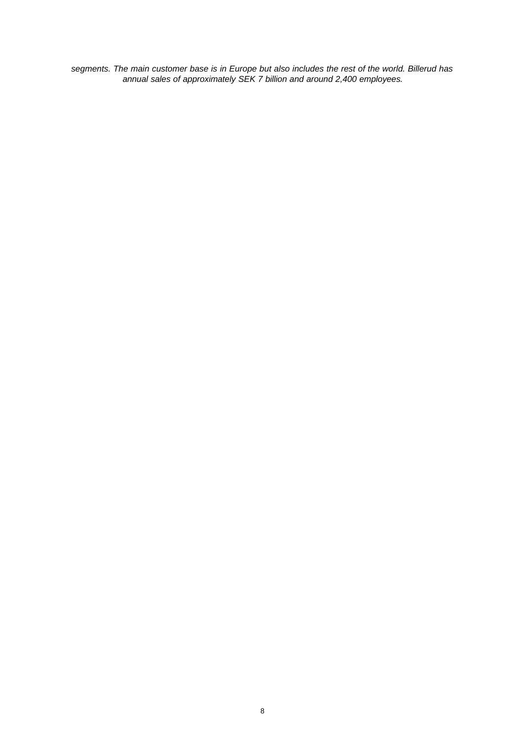*segments. The main customer base is in Europe but also includes the rest of the world. Billerud has annual sales of approximately SEK 7 billion and around 2,400 employees.*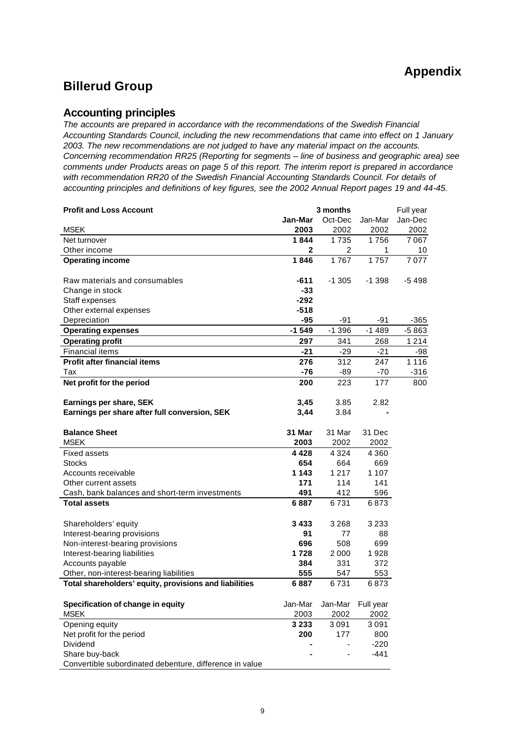# **Billerud Group**

#### **Accounting principles**

*The accounts are prepared in accordance with the recommendations of the Swedish Financial Accounting Standards Council, including the new recommendations that came into effect on 1 January 2003. The new recommendations are not judged to have any material impact on the accounts. Concerning recommendation RR25 (Reporting for segments – line of business and geographic area) see comments under Products areas on page 5 of this report. The interim report is prepared in accordance with recommendation RR20 of the Swedish Financial Accounting Standards Council. For details of accounting principles and definitions of key figures, see the 2002 Annual Report pages 19 and 44-45.*

| <b>Profit and Loss Account</b>                          |              | 3 months |           | Full year |
|---------------------------------------------------------|--------------|----------|-----------|-----------|
|                                                         | Jan-Mar      | Oct-Dec  | Jan-Mar   | Jan-Dec   |
| <b>MSEK</b>                                             | 2003         | 2002     | 2002      | 2002      |
| Net turnover                                            | 1844         | 1735     | 1756      | 7 0 6 7   |
| Other income                                            | $\mathbf{2}$ | 2        | 1         | 10        |
| <b>Operating income</b>                                 | 1846         | 1767     | 1757      | 7077      |
| Raw materials and consumables                           | $-611$       | $-1305$  | $-1398$   | $-5498$   |
| Change in stock                                         | -33          |          |           |           |
| Staff expenses                                          | $-292$       |          |           |           |
| Other external expenses                                 | $-518$       |          |           |           |
| Depreciation                                            | $-95$        | $-91$    | -91       | $-365$    |
| <b>Operating expenses</b>                               | $-1549$      | $-1.396$ | $-1489$   | $-5863$   |
| <b>Operating profit</b>                                 | 297          | 341      | 268       | 1 2 1 4   |
| <b>Financial items</b>                                  | $-21$        | $-29$    | $-21$     | $-98$     |
| <b>Profit after financial items</b>                     | 276          | 312      | 247       | 1 1 1 6   |
| Tax                                                     | $-76$        | -89      | $-70$     | $-316$    |
| Net profit for the period                               | 200          | 223      | 177       | 800       |
| Earnings per share, SEK                                 | 3,45         | 3.85     | 2.82      |           |
| Earnings per share after full conversion, SEK           | 3,44         | 3.84     |           |           |
| <b>Balance Sheet</b>                                    | 31 Mar       | 31 Mar   | 31 Dec    |           |
| <b>MSEK</b>                                             | 2003         | 2002     | 2002      |           |
| <b>Fixed assets</b>                                     | 4428         | 4 3 2 4  | 4 3 6 0   |           |
| <b>Stocks</b>                                           | 654          | 664      | 669       |           |
| Accounts receivable                                     | 1 1 4 3      | 1 2 1 7  | 1 1 0 7   |           |
| Other current assets                                    | 171          | 114      | 141       |           |
| Cash, bank balances and short-term investments          | 491          | 412      | 596       |           |
| <b>Total assets</b>                                     | 6887         | 6731     | 6873      |           |
| Shareholders' equity                                    | 3433         | 3 2 6 8  | 3 2 3 3   |           |
| Interest-bearing provisions                             | 91           | 77       | 88        |           |
| Non-interest-bearing provisions                         | 696          | 508      | 699       |           |
| Interest-bearing liabilities                            | 1728         | 2 0 0 0  | 1928      |           |
| Accounts payable                                        | 384          | 331      | 372       |           |
| Other, non-interest-bearing liabilities                 | 555          | 547      | 553       |           |
| Total shareholders' equity, provisions and liabilities  | 6887         | 6731     | 6873      |           |
| Specification of change in equity                       | Jan-Mar      | Jan-Mar  | Full year |           |
| <b>MSEK</b>                                             | 2003         | 2002     | 2002      |           |
| Opening equity                                          | 3 2 3 3      | 3091     | 3091      |           |
| Net profit for the period                               | 200          | 177      | 800       |           |
| Dividend                                                |              |          | $-220$    |           |
| Share buy-back                                          |              |          | $-441$    |           |
| Convertible subordinated debenture, difference in value |              |          |           |           |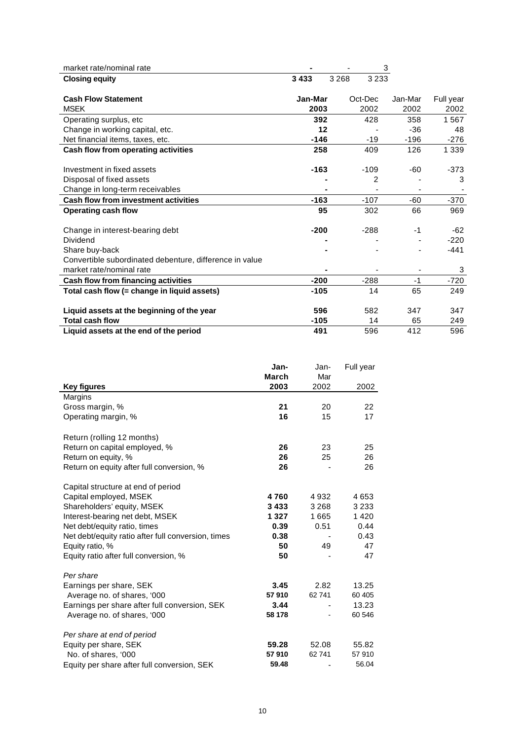| market rate/nominal rate                                |         |         |         | 3       |           |
|---------------------------------------------------------|---------|---------|---------|---------|-----------|
| <b>Closing equity</b>                                   | 3433    | 3 2 6 8 | 3 2 3 3 |         |           |
|                                                         |         |         |         |         |           |
| <b>Cash Flow Statement</b>                              | Jan-Mar |         | Oct-Dec | Jan-Mar | Full year |
| <b>MSEK</b>                                             | 2003    |         | 2002    | 2002    | 2002      |
| Operating surplus, etc.                                 | 392     |         | 428     | 358     | 1567      |
| Change in working capital, etc.                         | 12      |         |         | $-36$   | 48        |
| Net financial items, taxes, etc.                        | $-146$  |         | $-19$   | $-196$  | $-276$    |
| Cash flow from operating activities                     | 258     |         | 409     | 126     | 1 3 3 9   |
|                                                         |         |         |         |         |           |
| Investment in fixed assets                              | $-163$  |         | $-109$  | -60     | $-373$    |
| Disposal of fixed assets                                |         |         | 2       |         | 3         |
| Change in long-term receivables                         |         |         |         |         |           |
| <b>Cash flow from investment activities</b>             | $-163$  |         | $-107$  | $-60$   | $-370$    |
| <b>Operating cash flow</b>                              | 95      |         | 302     | 66      | 969       |
|                                                         |         |         |         |         |           |
| Change in interest-bearing debt                         | $-200$  |         | $-288$  | $-1$    | $-62$     |
| Dividend                                                |         |         |         |         | $-220$    |
| Share buy-back                                          |         |         |         |         | $-441$    |
| Convertible subordinated debenture, difference in value |         |         |         |         |           |
| market rate/nominal rate                                |         |         |         |         | 3         |
| Cash flow from financing activities                     | $-200$  |         | $-288$  | $-1$    | $-720$    |
| Total cash flow (= change in liquid assets)             | $-105$  |         | 14      | 65      | 249       |
|                                                         |         |         |         |         |           |
| Liquid assets at the beginning of the year              | 596     |         | 582     | 347     | 347       |
| <b>Total cash flow</b>                                  | $-105$  |         | 14      | 65      | 249       |
| Liquid assets at the end of the period                  | 491     |         | 596     | 412     | 596       |

|                                                    | Jan-          | Jan-        | Full year |
|----------------------------------------------------|---------------|-------------|-----------|
| <b>Key figures</b>                                 | March<br>2003 | Mar<br>2002 | 2002      |
| Margins                                            |               |             |           |
| Gross margin, %                                    | 21            | 20          | 22        |
| Operating margin, %                                | 16            | 15          | 17        |
| Return (rolling 12 months)                         |               |             |           |
| Return on capital employed, %                      | 26            | 23          | 25        |
| Return on equity, %                                | 26            | 25          | 26        |
| Return on equity after full conversion, %          | 26            |             | 26        |
| Capital structure at end of period                 |               |             |           |
| Capital employed, MSEK                             | 4760          | 4 9 3 2     | 4653      |
| Shareholders' equity, MSEK                         | 3433          | 3 2 6 8     | 3 2 3 3   |
| Interest-bearing net debt, MSEK                    | 1 3 2 7       | 1665        | 1420      |
| Net debt/equity ratio, times                       | 0.39          | 0.51        | 0.44      |
| Net debt/equity ratio after full conversion, times | 0.38          |             | 0.43      |
| Equity ratio, %                                    | 50            | 49          | 47        |
| Equity ratio after full conversion, %              | 50            |             | 47        |
| Per share                                          |               |             |           |
| Earnings per share, SEK                            | 3.45          | 2.82        | 13.25     |
| Average no. of shares, '000                        | 57910         | 62 741      | 60 405    |
| Earnings per share after full conversion, SEK      | 3.44          |             | 13.23     |
| Average no. of shares, '000                        | 58 178        |             | 60 546    |
| Per share at end of period                         |               |             |           |
| Equity per share, SEK                              | 59.28         | 52.08       | 55.82     |
| No. of shares, '000                                | 57910         | 62741       | 57910     |
| Equity per share after full conversion, SEK        | 59.48         |             | 56.04     |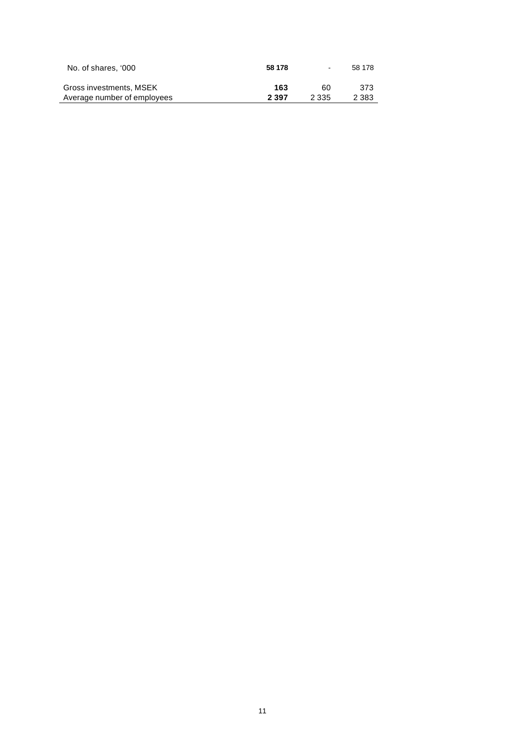| No. of shares. '000         | 58 178  | $\blacksquare$ | 58 178  |
|-----------------------------|---------|----------------|---------|
| Gross investments, MSEK     | 163     | 60             | 373.    |
| Average number of employees | 2 3 9 7 | 2 3 3 5        | 2 3 8 3 |